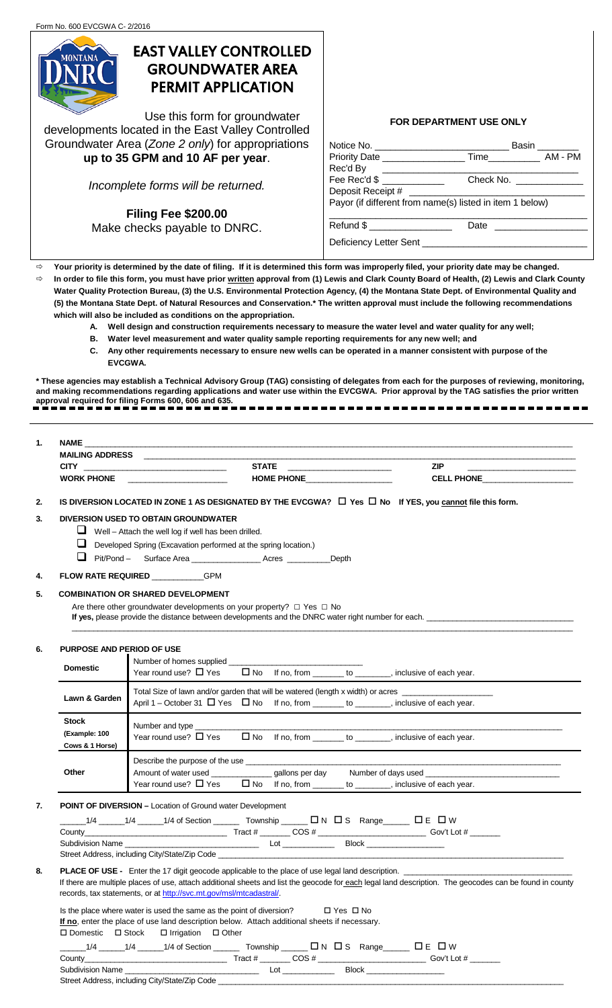

# EAST VALLEY CONTROLLED GROUNDWATER AREA PERMIT APPLICATION

Use this form for groundwater developments located in the East Valley Controlled Groundwater Area (*Zone 2 only*) for appropriations **up to 35 GPM and 10 AF per year**.

*Incomplete forms will be returned.*

**Filing Fee \$200.00** Make checks payable to DNRC.

# **FOR DEPARTMENT USE ONLY**

|                             |                                                                                                                       | Basin _______ |
|-----------------------------|-----------------------------------------------------------------------------------------------------------------------|---------------|
|                             |                                                                                                                       |               |
| Rec'd By                    | <u> 1980 - Andrea Andrea Brazilia e a contra a contra a contra a contra a contra a contra a contra a contra a con</u> |               |
| Fee Rec'd \$ ______________ | Check No. _______________                                                                                             |               |
|                             |                                                                                                                       |               |
|                             | Payor (if different from name(s) listed in item 1 below)                                                              |               |
| $Refund$ \$                 |                                                                                                                       |               |
|                             |                                                                                                                       |               |

 **Your priority is determined by the date of filing. If it is determined this form was improperly filed, your priority date may be changed. In order to file this form, you must have prior written approval from (1) Lewis and Clark County Board of Health, (2) Lewis and Clark County Water Quality Protection Bureau, (3) the U.S. Environmental Protection Agency, (4) the Montana State Dept. of Environmental Quality and (5) the Montana State Dept. of Natural Resources and Conservation.\* The written approval must include the following recommendations which will also be included as conditions on the appropriation.**

- **A. Well design and construction requirements necessary to measure the water level and water quality for any well;**
- **B. Water level measurement and water quality sample reporting requirements for any new well; and**
- **C. Any other requirements necessary to ensure new wells can be operated in a manner consistent with purpose of the EVCGWA.**

**\* These agencies may establish a Technical Advisory Group (TAG) consisting of delegates from each for the purposes of reviewing, monitoring, and making recommendations regarding applications and water use within the EVCGWA. Prior approval by the TAG satisfies the prior written approval required for filing Forms 600, 606 and 635.**

| . . | <b>NAME</b><br><b>MAILING ADDRESS</b> |                   |                   |
|-----|---------------------------------------|-------------------|-------------------|
|     | <b>CITY</b>                           | <b>STATE</b>      | <b>ZIP</b>        |
|     | <b>WORK PHONE</b>                     | <b>HOME PHONE</b> | <b>CELL PHONE</b> |

**2.** IS DIVERSION LOCATED IN ZONE 1 AS DESIGNATED BY THE EVCGWA? □ Yes □ No If YES, you cannot file this form.

## **3. DIVERSION USED TO OBTAIN GROUNDWATER**

- $\Box$  Well Attach the well log if well has been drilled.
- $\Box$  Developed Spring (Excavation performed at the spring location.)
- Pit/Pond Surface Area \_\_\_\_\_\_\_\_\_\_\_\_\_\_\_\_ Acres \_\_\_\_\_\_\_\_\_\_Depth
- **4. FLOW RATE REQUIRED GPM**

## **5. COMBINATION OR SHARED DEVELOPMENT**

Are there other groundwater developments on your property? □ Yes □ No

If yes, please provide the distance between developments and the DNRC water right number for each.

| <b>PURPOSE AND PERIOD OF USE</b>                 |                                                                                                                                                                                          |  |                                         |
|--------------------------------------------------|------------------------------------------------------------------------------------------------------------------------------------------------------------------------------------------|--|-----------------------------------------|
| <b>Domestic</b>                                  | Number of homes supplied<br>Year round use? $\Box$ Yes $\Box$ No If no, from $\_\_\_\_$ to $\_\_\_\_\_$ , inclusive of each year.                                                        |  |                                         |
| Lawn & Garden                                    | Total Size of lawn and/or garden that will be watered (length x width) or acres<br>April 1 – October 31 $\Box$ Yes $\Box$ No If no, from _______ to _______, inclusive of each year.     |  |                                         |
| <b>Stock</b><br>(Example: 100<br>Cows & 1 Horse) | Number and type _______________<br>Year round use? $\Box$ Yes $\Box$ No If no, from $\_\_\_\_$ to $\_\_\_\_\_$ , inclusive of each year.                                                 |  |                                         |
| Other                                            | Describe the purpose of the use<br>Amount of water used _________________gallons per day<br>Year round use? $\Box$ Yes $\Box$ No If no, from _______ to _______, inclusive of each year. |  | Number of days used Number of days used |

\_\_\_\_\_\_\_\_\_\_\_\_\_\_\_\_\_\_\_\_\_\_\_\_\_\_\_\_\_\_\_\_\_\_\_\_\_\_\_\_\_\_\_\_\_\_\_\_\_\_\_\_\_\_\_\_\_\_\_\_\_\_\_\_\_\_\_\_\_\_\_\_\_\_\_\_\_\_\_\_\_\_\_\_\_\_\_\_\_\_\_\_\_\_\_\_\_\_\_\_\_\_\_\_\_\_\_\_\_\_\_\_\_\_\_\_

#### **7. POINT OF DIVERSION –** Location of Ground water Development

| 1/4 of Section<br>$1/\Delta$                  | Township        | $\Box N \Box S$ Range | $\square$ W |
|-----------------------------------------------|-----------------|-----------------------|-------------|
| County                                        | Tract #         | COS ‡                 | Gov't Lot # |
| <b>Subdivision Name</b>                       | ∟0 <sup>†</sup> | <b>Block</b>          |             |
| Street Address, including City/State/Zip Code |                 |                       |             |

# 8. **PLACE OF USE** - Enter the 17 digit geocode applicable to the place of use legal land description. If there are multiple places of use, attach additional sheets and list the geocode for each legal land description. The geocodes can be found in county records, tax statements, or a[t http://svc.mt.gov/msl/mtcadastral/.](http://svc.mt.gov/msl/mtcadastral/)

Is the place where water is used the same as the point of diversion?  $\square$  Yes  $\square$  No **If no**, enter the place of use land description below. Attach additional sheets if necessary.  $\square$  Domestic  $\square$  Stock  $\square$  Irrigation  $\square$  Other

| $1/\Delta$ |  | 1/4 of Section | ownship | א ב | Пc.<br>- 5 | Range | W |  |
|------------|--|----------------|---------|-----|------------|-------|---|--|
|------------|--|----------------|---------|-----|------------|-------|---|--|

| شount⊽                      | ract<br>$\overline{\phantom{a}}$<br>. . | ∴i∩v                                         | ΩТ |
|-----------------------------|-----------------------------------------|----------------------------------------------|----|
| subdivier<br>name<br>510 11 | L <sub>O</sub>                          | <b>Block</b><br>and the contract of the con- |    |

Street Address, including City/State/Zip Code \_